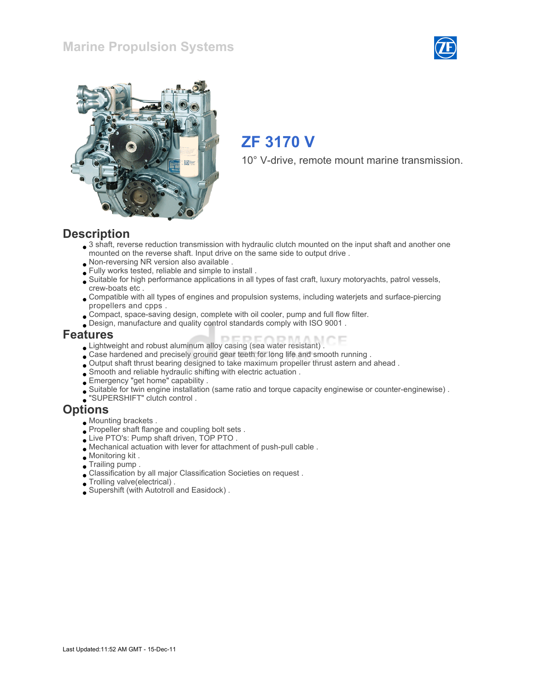### Marine Propulsion Systems





## ZF 3170 V

10° V-drive, remote mount marine transmission.

#### **Description**

- 3 shaft, reverse reduction transmission with hydraulic clutch mounted on the input shaft and another one mounted on the reverse shaft. Input drive on the same side to output drive .
- Non-reversing NR version also available .
- Fully works tested, reliable and simple to install .
- Suitable for high performance applications in all types of fast craft, luxury motoryachts, patrol vessels, crew-boats etc .
- Compatible with all types of engines and propulsion systems, including waterjets and surface-piercing propellers and cpps .
- Compact, space-saving design, complete with oil cooler, pump and full flow filter.
- Design, manufacture and quality control standards comply with ISO 9001 .

#### Features

- Lightweight and robust aluminum alloy casing (sea water resistant) .
- Case hardened and precisely ground gear teeth for long life and smooth running .
- Output shaft thrust bearing designed to take maximum propeller thrust astern and ahead .
- Smooth and reliable hydraulic shifting with electric actuation .
- Emergency "get home" capability .
- Suitable for twin engine installation (same ratio and torque capacity enginewise or counter-enginewise) .
- "SUPERSHIFT" clutch control .

#### **Options**

- Mounting brackets .
- Propeller shaft flange and coupling bolt sets.
- Live PTO's: Pump shaft driven, TOP PTO .
- Mechanical actuation with lever for attachment of push-pull cable .
- Monitoring kit .
- Trailing pump .
- Classification by all major Classification Societies on request .
- Trolling valve(electrical) .
- Supershift (with Autotroll and Easidock) .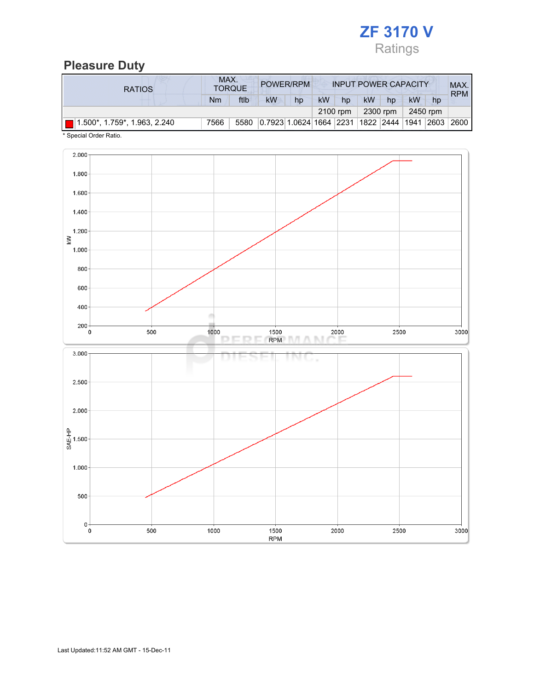

# Pleasure Duty

| <b>RATIOS</b>                 | MAX.<br>POWER/RPM<br><b>TORQUE</b> |      |                                             |    | <b>INPUT POWER CAPACITY</b> |          |    |          |          | MAX.<br><b>RPM</b> |        |  |
|-------------------------------|------------------------------------|------|---------------------------------------------|----|-----------------------------|----------|----|----------|----------|--------------------|--------|--|
|                               | Nm                                 | ftlb | <b>kW</b>                                   | hp | kW                          | hp       | kW | hp       | kW       | hp                 |        |  |
|                               |                                    |      |                                             |    |                             | 2100 rpm |    | 2300 rpm | 2450 rpm |                    |        |  |
| (1.500*, 1.759*, 1.963, 2.240 | 7566                               | 5580 | 0.7923 1.0624 1664 2231 1822 2444 1941 2603 |    |                             |          |    |          |          |                    | 2600 l |  |

\* Special Order Ratio.

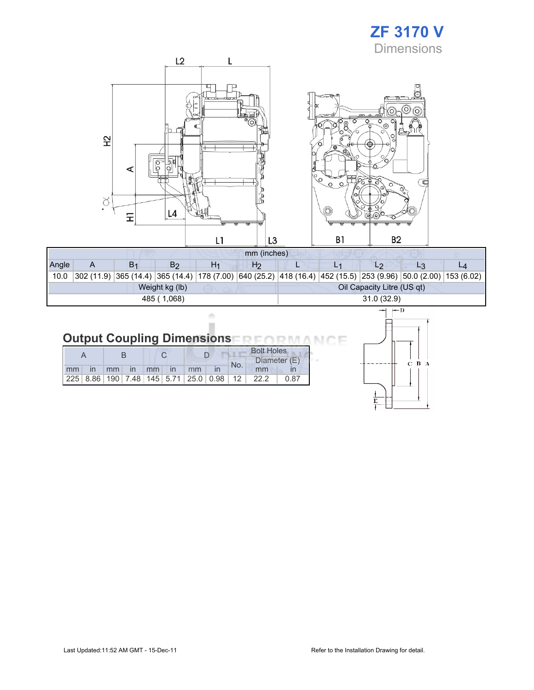### ZF 3170 V **Dimensions**

|                                                    | L <sub>2</sub>                   |                                                                                                                            |                                                                                                                             |  |
|----------------------------------------------------|----------------------------------|----------------------------------------------------------------------------------------------------------------------------|-----------------------------------------------------------------------------------------------------------------------------|--|
| 오<br>O<br>$\circ$<br>⋖<br>$\infty$<br>۰<br>L4<br>도 | ட<br>ö<br>o<br>)<br>D<br>σ       | $\frac{1}{\sqrt{2}}$<br>$\circ$<br>$\mathbb{R}$<br>ø<br>r<br>$\mathbb{R}^{\mathcal{O}}$<br>$\%$<br>$\circ$<br>$\circ$<br>Ő | Ю<br>۰.<br>$\left( 0\right)$<br>O<br>Ο<br>$\overline{\circ}_{\circledcirc}$<br>O,<br>$\frac{1}{2}$<br>е<br>∩<br>Œ<br>ñ<br>ଚ |  |
|                                                    | L1<br>L <sub>3</sub>             | B <sub>1</sub>                                                                                                             | B <sub>2</sub>                                                                                                              |  |
|                                                    | mm (inches)                      |                                                                                                                            |                                                                                                                             |  |
| $B_1$<br>B <sub>2</sub><br>$\mathsf{A}$            | H <sub>1</sub><br>H <sub>2</sub> | L <sub>1</sub><br>L                                                                                                        | L <sub>2</sub><br>$L_3$                                                                                                     |  |

| Angle |  | B2             | H1 | H <sub>2</sub> |  |                            |                                                                                                                |  |
|-------|--|----------------|----|----------------|--|----------------------------|----------------------------------------------------------------------------------------------------------------|--|
| 10.0  |  |                |    |                |  |                            | 302 (11.9) 365 (14.4) 365 (14.4) 178 (7.00) 640 (25.2) 418 (16.4) 452 (15.5) 253 (9.96) 50.0 (2.00) 153 (6.02) |  |
|       |  | Weight kg (lb) |    |                |  | Oil Capacity Litre (US qt) |                                                                                                                |  |
|       |  | 485 (1,068)    |    |                |  | 31.0(32.9)                 |                                                                                                                |  |

# **Output Coupling Dimensions REORMANCE**

 $\alpha$ ×

|    |       |       |  |               |    | <b>Bolt Holes</b>                                       |     |              |      |  |
|----|-------|-------|--|---------------|----|---------------------------------------------------------|-----|--------------|------|--|
|    |       |       |  |               |    |                                                         | No. | Diameter (E) |      |  |
| mm | in mm | in mm |  | $\mathsf{In}$ | mm |                                                         |     | mm           |      |  |
|    |       |       |  |               |    | 225   8.86   190   7.48   145   5.71   25.0   0.98   12 |     | 22.2         | 0.87 |  |